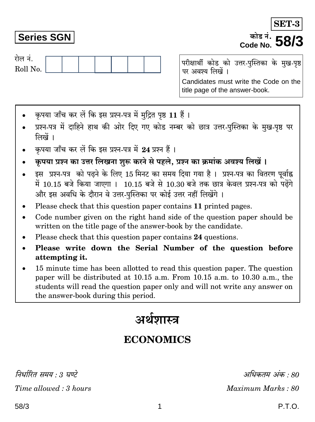निर्धारित समय : 3 घण्टे Time allowed: 3 hours

# **Series SGN**

रोल नं.

Roll No.

परीक्षार्थी कोड को उत्तर-पुस्तिका के मुख-पृष्ठ पर अवश्य लिखें । Candidates must write the Code on the title page of the answer-book.

- कपया जाँच कर लें कि इस प्रश्न-पत्र में मुद्रित पृष्ठ 11 हैं।
- प्रश्न-पत्र में दाहिने हाथ की ओर दिए गए कोड नम्बर को छात्र उत्तर-पुस्तिका के मुख-पृष्ठ पर लिखें ।
- कपया जाँच कर लें कि इस प्रश्न-पत्र में 24 प्रश्न हैं।
- कृपया प्रश्न का उत्तर लिखना शुरू करने से पहले, प्रश्न का क्रमांक अवश्य लिखें ।
- इस प्रश्न-पत्र को पढ़ने के लिए 15 मिनट का समय दिया गया है। प्रश्न-पत्र का वितरण पर्वाह्न में 10.15 बजे किया जाएगा । 10.15 बजे से 10.30 बजे तक छात्र केवल प्रश्न-पत्र को पढ़ेंगे और इस अवधि के दौरान वे उत्तर-पस्तिका पर कोई उत्तर नहीं लिखेंगे ।
- Please check that this question paper contains 11 printed pages.
- Code number given on the right hand side of the question paper should be  $\bullet$ written on the title page of the answer-book by the candidate.
- Please check that this question paper contains 24 questions.
- Please write down the Serial Number of the question before attempting it.
- 15 minute time has been allotted to read this question paper. The question paper will be distributed at 10.15 a.m. From 10.15 a.m. to 10.30 a.m., the students will read the question paper only and will not write any answer on the answer-book during this period.

# अर्थशास्त्र

# **ECONOMICS**

अधिकतम अंक : 80 Maximum Marks: 80

SET-

## कोड नं. Code No.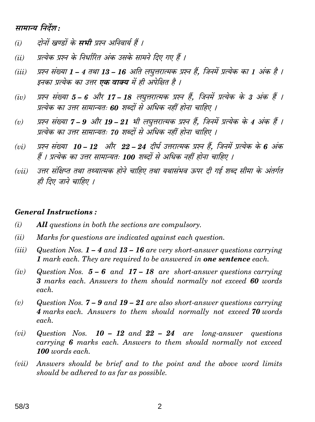# सामान्य निर्देश:

- दोनों खण्डों के **सभी** प्रश्न अनिवार्य हैं ।  $(i)$
- प्रत्येक प्रश्न के निर्धारित अंक उसके सामने दिए गए हैं ।  $(ii)$
- प्रश्न संख्या 1 4 तथा 13 16 अति लघृत्तरात्मक प्रश्न हैं. जिनमें प्रत्येक का 1 अंक है ।  $(iii)$ इनका प्रत्येक का उत्तर **एक वाक्य** में ही अपेक्षित है ।
- प्रश्न संख्या 5 6 और 17 18 लघुत्तरात्मक प्रश्न हैं, जिनमें प्रत्येक के 3 अंक हैं ।  $(iv)$ प्रत्येक का उत्तर सामान्यतः 60 शब्दों से अधिक नहीं होना चाहिए ।
- प्रश्न संख्या 7 9 और 19 21 भी लघुत्तरात्मक प्रश्न हैं, जिनमें प्रत्येक के 4 अंक हैं ।  $(v)$ प्रत्येक का उत्तर सामान्यतः 70 शब्दों से अधिक नहीं होना चाहिए ।
- प्रश्न संख्या 10 12 और 22 24 दीर्घ उत्तरात्मक प्रश्न हैं. जिनमें प्रत्येक के 6 अंक  $(vi)$ हैं । प्रत्येक का उत्तर सामान्यतः 100 शब्दों से अधिक नहीं होना चाहिए ।
- उत्तर संक्षिप्त तथा तथ्यात्मक होने चाहिए तथा यथासंभव ऊपर दी गई शब्द सीमा के अंतर्गत  $(iii)$ ही दिए जाने चाहिए ।

#### **General Instructions:**

- $(i)$ **All** questions in both the sections are compulsory.
- $(ii)$ Marks for questions are indicated against each question.
- $(iii)$ Question Nos.  $1 - 4$  and  $13 - 16$  are very short-answer questions carrying 1 mark each. They are required to be answered in **one sentence** each.
- $(iv)$ Question Nos.  $5 - 6$  and  $17 - 18$  are short-answer questions carrying 3 marks each. Answers to them should normally not exceed 60 words each.
- Question Nos.  $7 9$  and  $19 21$  are also short-answer questions carrying  $(v)$ 4 marks each. Answers to them should normally not exceed 70 words each.
- $(vi)$ Question Nos.  $10 - 12$  and  $22 - 24$  are long-answer questions carrying 6 marks each. Answers to them should normally not exceed 100 words each.
- Answers should be brief and to the point and the above word limits  $(vii)$ should be adhered to as far as possible.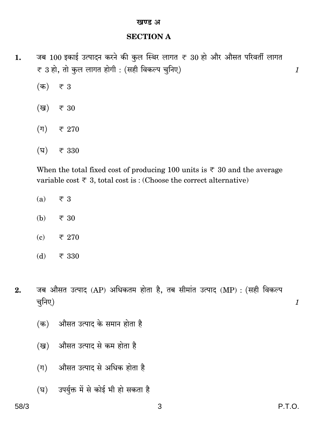#### खण्ड अ

#### **SECTION A**

- जब 100 इकाई उत्पादन करने की कुल स्थिर लागत ₹ 30 हो और औसत परिवर्ती लागत 1. ₹ 3 हो, तो कुल लागत होगी : (सही विकल्प चुनिए)
	- $(\overline{a})$  $\overline{\tau}$  3
	- (ख) ₹ 30
	- $(\pi)$  $\overline{z}$  270
	- $(\overline{v})$ ₹ 330

When the total fixed cost of producing 100 units is  $\overline{\xi}$  30 and the average variable cost  $\overline{\tau}$  3, total cost is: (Choose the correct alternative)

- $\overline{\overline{\xi}}$  3  $(a)$
- ₹ 30 (b)
- $(c)$ ₹ 270
- $(d)$ ₹ 330
- जब औसत उत्पाद (AP) अधिकतम होता है, तब सीमांत उत्पाद (MP) : (सही विकल्प  $2.$ चूनिए)
	- औसत उत्पाद के समान होता है (क)
	- औसत उत्पाद से कम होता है (ख)
	- औसत उत्पाद से अधिक होता है  $(\Pi)$
	- (घ) उपर्युक्त में से कोई भी हो सकता है

 $\boldsymbol{\mathit{1}}$ 

 $\boldsymbol{\mathit{1}}$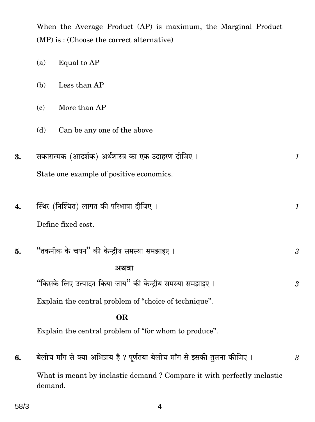When the Average Product (AP) is maximum, the Marginal Product  $(MP)$  is: (Choose the correct alternative)

|    | (a) | Equal to AP                                                                |                |
|----|-----|----------------------------------------------------------------------------|----------------|
|    | (b) | Less than AP                                                               |                |
|    | (c) | More than AP                                                               |                |
|    | (d) | Can be any one of the above                                                |                |
| 3. |     | सकारात्मक (आदर्शक) अर्थशास्त्र का एक उदाहरण दीजिए ।                        | $\mathcal{I}$  |
|    |     | State one example of positive economics.                                   |                |
| 4. |     | स्थिर (निश्चित) लागत की परिभाषा दीजिए ।                                    | $\mathcal{I}$  |
|    |     | Define fixed cost.                                                         |                |
| 5. |     | "तकनीक के चयन" की केन्द्रीय समस्या समझाइए ।                                | $\mathfrak{Z}$ |
|    |     | अथवा                                                                       |                |
|    |     | "किसके लिए उत्पादन किया जाय" की केन्द्रीय समस्या समझाइए ।                  | $\mathfrak{z}$ |
|    |     | Explain the central problem of "choice of technique".                      |                |
|    |     | <b>OR</b>                                                                  |                |
|    |     | Explain the central problem of "for whom to produce".                      |                |
| 6. |     | बेलोच माँग से क्या अभिप्राय है ? पूर्णतया बेलोच माँग से इसकी तुलना कीजिए । | $\mathfrak{Z}$ |
|    |     | What is moant by inclustic demand ? Compare it with perfectly inclustic    |                |

What is meant by inelastic demand? Compare it with perfectly inelastic demand.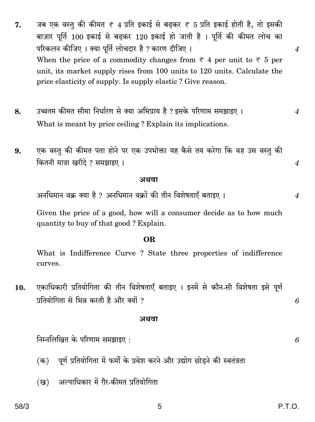- जब एक वस्तु की कीमत ₹ 4 प्रति इकाई से बढ़कर ₹ 5 प्रति इकाई होती है, तो इसकी 7. बाज़ार पर्ति 100 इकाई से बढ़कर 120 इकाई हो जाती है । पर्ति की कीमत लोच का परिकलन कीजिए । क्या पूर्ति लोचदार है ? कारण दीजिए ।  $\overline{4}$ When the price of a commodity changes from  $\overline{\tau}$  4 per unit to  $\overline{\tau}$  5 per unit, its market supply rises from 100 units to 120 units. Calculate the price elasticity of supply. Is supply elastic? Give reason.
- उच्चतम कीमत सीमा निर्धारण से क्या अभिप्राय है ? इसके परिणाम समझाइए । 8.  $\boldsymbol{\mathcal{A}}$ What is meant by price ceiling? Explain its implications.
- एक वस्तु की कीमत पता होने पर एक उपभोक्ता यह कैसे तय करेगा कि वह उस वस्तु की 9. कितनी मात्रा खरीदे ? समझाइए ।

#### अथवा

अनधिमान वक्र क्या है ? अनधिमान वक्रों की तीन विशेषताएँ बताइए ।

Given the price of a good, how will a consumer decide as to how much quantity to buy of that good? Explain.

#### OR.

What is Indifference Curve? State three properties of indifference curves.

एकाधिकारी प्रतियोगिता की तीन विशेषताएँ बताइए । इनमें से कौन-सी विशेषता इसे पूर्ण 10. प्रतियोगिता से भिन्न करती है और क्यों ?

#### अथवा

निम्नलिखित के परिणाम समझाइए :

- (क) पूर्ण प्रतियोगिता में फर्मों के प्रवेश करने और उद्योग छोडने की स्वतंत्रता
- अल्पाधिकार में गैर-कीमत प्रतियोगिता (ख)

6

6

 $\boldsymbol{4}$ 

 $\overline{4}$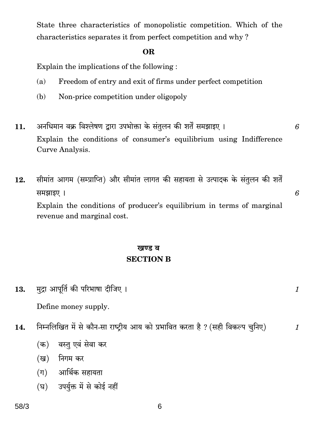State three characteristics of monopolistic competition. Which of the characteristics separates it from perfect competition and why?

### OR.

Explain the implications of the following:

- Freedom of entry and exit of firms under perfect competition  $(a)$
- Non-price competition under oligopoly (b)
- अनधिमान वक्र विश्लेषण द्वारा उपभोक्ता के संतुलन की शर्तें समझाइए । 11. Explain the conditions of consumer's equilibrium using Indifference Curve Analysis.
- सीमांत आगम (सम्प्राप्ति) और सीमांत लागत की सहायता से उत्पादक के संतुलन की शर्तें 12. समझाइए । Explain the conditions of producer's equilibrium in terms of marginal revenue and marginal cost.

# खण्ड ब **SECTION B**

मुद्रा आपूर्ति की परिभाषा दीजिए । 13.

Define money supply.

- निम्नलिखित में से कौन-सा राष्ट्रीय आय को प्रभावित करता है ? (सही विकल्प चुनिए) 14.
	- (क) वस्तु एवं सेवा कर
	- (ख) निगम कर
	- (ग) आर्थिक सहायता
	- (घ) उपर्युक्त में से कोई नहीं

6

 $\mathcal{I}$ 

 $\mathcal{I}$ 

6

6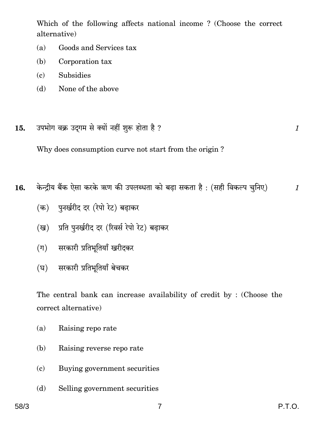Which of the following affects national income? (Choose the correct alternative)

- $(a)$ Goods and Services tax
- $(b)$ Corporation tax
- **Subsidies**  $(c)$
- None of the above (d)
- उपभोग वक्र उदगम से क्यों नहीं शुरू होता है ? 15.

Why does consumption curve not start from the origin?

केन्द्रीय बैंक ऐसा करके ऋण की उपलब्धता को बढा सकता है: (सही विकल्प चुनिए) 16.

- (क) पुनर्खरीद दर (रेपो रेट) बढाकर
- प्रति पुनर्खरीद दर (रिवर्स रेपो रेट) बढ़ाकर (ख)
- (ग) सरकारी प्रतिभूतियाँ खरीदकर
- सरकारी प्रतिभूतियाँ बेचकर (घ)

The central bank can increase availability of credit by: (Choose the correct alternative)

- Raising reporate  $(a)$
- $(b)$ Raising reverse reporate
- Buying government securities  $(c)$
- $(d)$ Selling government securities

 $\boldsymbol{\mathit{1}}$ 

 $\mathcal{I}_{\mathcal{L}}$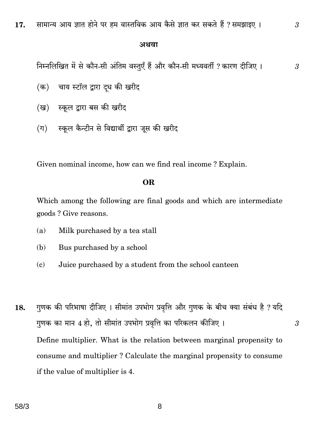#### अथवा

निम्नलिखित में से कौन-सी अंतिम वस्तुएँ हैं और कौन-सी मध्यवर्ती ? कारण दीजिए । 3

3

3

- (क) चाय स्टॉल द्वारा दूध की खरीद
- (ख) स्कुल द्वारा बस की खरीद
- स्कूल कैन्टीन से विद्यार्थी द्वारा जूस की खरीद  $(\pi)$

Given nominal income, how can we find real income? Explain.

#### **OR**

Which among the following are final goods and which are intermediate goods? Give reasons.

- $(a)$ Milk purchased by a tea stall
- Bus purchased by a school (b)
- Juice purchased by a student from the school canteen  $\epsilon$
- गुणक की परिभाषा दीजिए । सीमांत उपभोग प्रवृत्ति और गुणक के बीच क्या संबंध है ? यदि 18. गुणक का मान 4 हो, तो सीमांत उपभोग प्रवृत्ति का परिकलन कीजिए । Define multiplier. What is the relation between marginal propensity to consume and multiplier? Calculate the marginal propensity to consume if the value of multiplier is 4.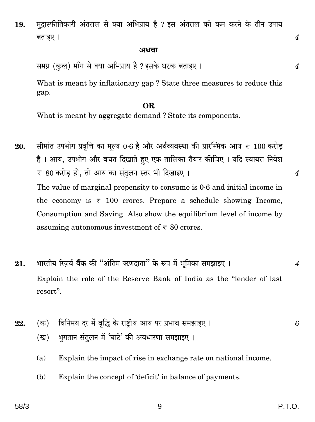मुद्रास्फीतिकारी अंतराल से क्या अभिप्राय है ? इस अंतराल को कम करने के तीन उपाय 19. बताइए ।

#### अथवा

समग्र (कुल) माँग से क्या अभिप्राय है ? इसके घटक बताइए ।

What is meant by inflationary gap? State three measures to reduce this gap.

#### OR.

What is meant by aggregate demand? State its components.

सीमांत उपभोग प्रवृत्ति का मूल्य 0.6 है और अर्थव्यवस्था की प्रारम्भिक आय ₹ 100 करोड़ 20. है। आय, उपभोग और बचत दिखाते हए एक तालिका तैयार कीजिए। यदि स्वायत्त निवेश ₹ 80 करोड हो, तो आय का संतुलन स्तर भी दिखाइए। The value of marginal propensity to consume is  $0.6$  and initial income in the economy is  $\overline{\tau}$  100 crores. Prepare a schedule showing Income, Consumption and Saving. Also show the equilibrium level of income by assuming autonomous investment of  $\overline{\epsilon}$  80 crores.

- भारतीय रिज़र्व बैंक की "अंतिम ऋणदाता" के रूप में भूमिका समझाइए । 21.  $\overline{4}$ Explain the role of the Reserve Bank of India as the "lender of last resort".
- विनिमय दर में वृद्धि के राष्ट्रीय आय पर प्रभाव समझाइए ।  $(\overline{a})$ 22. 6 भगतान संतुलन में 'घाटे' की अवधारणा समझाइए ।  $(\overline{g})$ 
	- Explain the impact of rise in exchange rate on national income.  $(a)$
	- Explain the concept of 'deficit' in balance of payments. (b)

 $\boldsymbol{4}$ 

 $\overline{4}$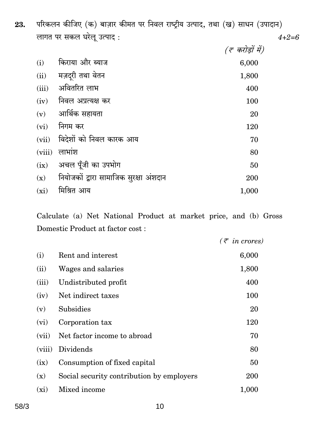परिकलन कीजिए (क) बाज़ार कीमत पर निवल राष्ट्रीय उत्पाद, तथा (ख) साधन (उपादान) 23. लागत पर सकल घरेलू उत्पाद:  $4 + 2 = 6$ 

|                                        | (रू करोड़ों में) |
|----------------------------------------|------------------|
| किराया और ब्याज                        | 6,000            |
| मज़दूरी तथा वेतन                       | 1,800            |
| अवितरित लाभ                            | 400              |
| निवल अप्रत्यक्ष कर                     | 100              |
|                                        | 20               |
| निगम कर                                | 120              |
| विदेशों को निवल कारक आय                | 70               |
| लाभांश                                 | 80               |
| अचल पूँजी का उपभोग                     | 50               |
| नियोजकों द्वारा सामाजिक सुरक्षा अंशदान | 200              |
| मिश्रित आय                             | 1,000            |
|                                        | आर्थिक सहायता    |

Calculate (a) Net National Product at market price, and (b) Gross Domestic Product at factor cost :

| $(\bar{z}$ in crores)                                                                                                                                                                                                                                                 |
|-----------------------------------------------------------------------------------------------------------------------------------------------------------------------------------------------------------------------------------------------------------------------|
| 6,000                                                                                                                                                                                                                                                                 |
| 1,800                                                                                                                                                                                                                                                                 |
| 400                                                                                                                                                                                                                                                                   |
| 100                                                                                                                                                                                                                                                                   |
| 20                                                                                                                                                                                                                                                                    |
| 120                                                                                                                                                                                                                                                                   |
| 70                                                                                                                                                                                                                                                                    |
| 80                                                                                                                                                                                                                                                                    |
| 50                                                                                                                                                                                                                                                                    |
| 200                                                                                                                                                                                                                                                                   |
| 1,000                                                                                                                                                                                                                                                                 |
| Rent and interest<br>Wages and salaries<br>Undistributed profit<br>Net indirect taxes<br><b>Subsidies</b><br>Corporation tax<br>Net factor income to abroad<br>Dividends<br>Consumption of fixed capital<br>Social security contribution by employers<br>Mixed income |